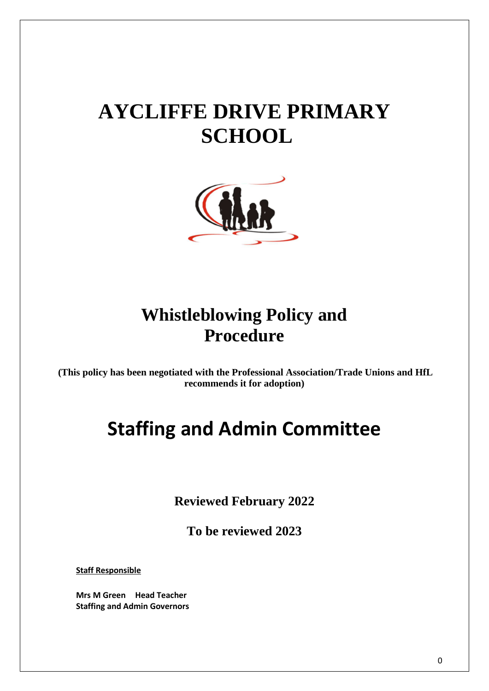# **AYCLIFFE DRIVE PRIMARY SCHOOL**



### **Whistleblowing Policy and Procedure**

**(This policy has been negotiated with the Professional Association/Trade Unions and HfL recommends it for adoption)**

## **Staffing and Admin Committee**

**Reviewed February 2022**

**To be reviewed 2023**

**Staff Responsible**

**Mrs M Green Head Teacher Staffing and Admin Governors**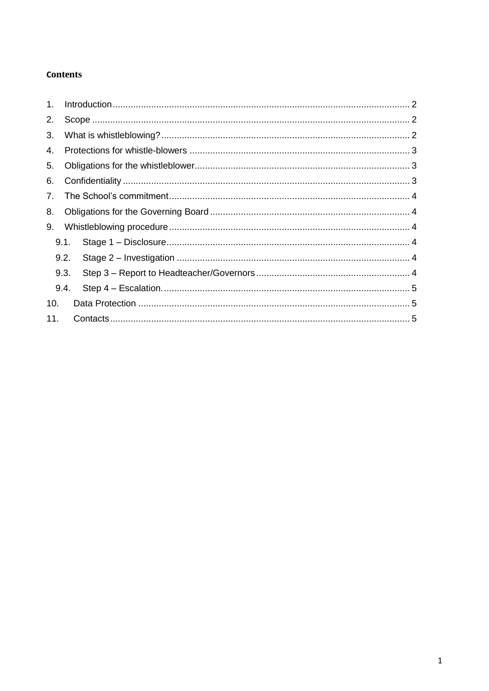#### **Contents**

| 1 <sub>1</sub> |      |  |
|----------------|------|--|
| 2.             |      |  |
| 3.             |      |  |
| 4.             |      |  |
| 5.             |      |  |
| 6.             |      |  |
| 7.             |      |  |
| 8.             |      |  |
| 9.             |      |  |
|                | 9.1. |  |
|                | 9.2. |  |
|                | 9.3. |  |
|                | 9.4. |  |
| 10.            |      |  |
| 11.            |      |  |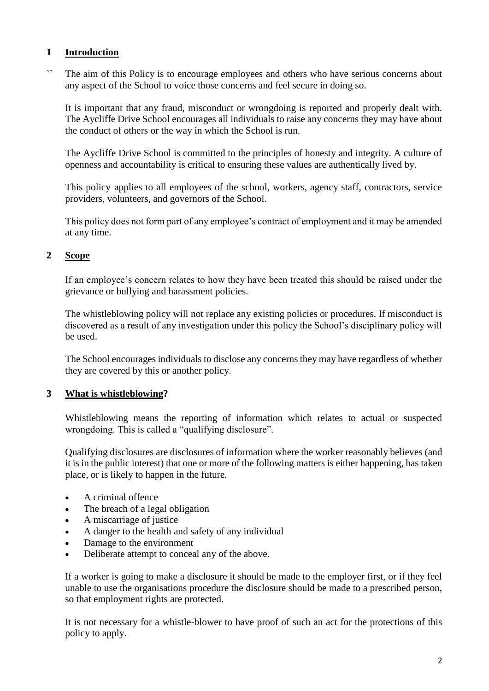#### <span id="page-2-0"></span>**1 Introduction**

`` The aim of this Policy is to encourage employees and others who have serious concerns about any aspect of the School to voice those concerns and feel secure in doing so.

It is important that any fraud, misconduct or wrongdoing is reported and properly dealt with. The Aycliffe Drive School encourages all individuals to raise any concerns they may have about the conduct of others or the way in which the School is run.

The Aycliffe Drive School is committed to the principles of honesty and integrity. A culture of openness and accountability is critical to ensuring these values are authentically lived by.

This policy applies to all employees of the school, workers, agency staff, contractors, service providers, volunteers, and governors of the School.

This policy does not form part of any employee's contract of employment and it may be amended at any time.

#### <span id="page-2-1"></span>**2 Scope**

If an employee's concern relates to how they have been treated this should be raised under the grievance or bullying and harassment policies.

The whistleblowing policy will not replace any existing policies or procedures. If misconduct is discovered as a result of any investigation under this policy the School's disciplinary policy will be used.

The School encourages individuals to disclose any concerns they may have regardless of whether they are covered by this or another policy.

#### <span id="page-2-2"></span>**3 What is whistleblowing?**

Whistleblowing means the reporting of information which relates to actual or suspected wrongdoing. This is called a "qualifying disclosure".

Qualifying disclosures are disclosures of information where the worker reasonably believes (and it is in the public interest) that one or more of the following matters is either happening, has taken place, or is likely to happen in the future.

- A criminal offence
- The breach of a legal obligation
- A miscarriage of justice
- A danger to the health and safety of any individual
- Damage to the environment
- Deliberate attempt to conceal any of the above.

If a worker is going to make a disclosure it should be made to the employer first, or if they feel unable to use the organisations procedure the disclosure should be made to a prescribed person, so that employment rights are protected.

It is not necessary for a whistle-blower to have proof of such an act for the protections of this policy to apply.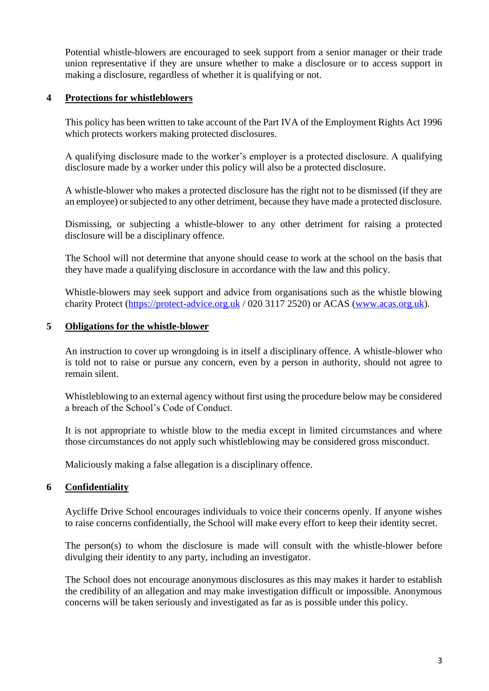Potential whistle-blowers are encouraged to seek support from a senior manager or their trade union representative if they are unsure whether to make a disclosure or to access support in making a disclosure, regardless of whether it is qualifying or not.

#### <span id="page-3-0"></span>**4 Protections for whistleblowers**

This policy has been written to take account of the Part IVA of the Employment Rights Act 1996 which protects workers making protected disclosures.

A qualifying disclosure made to the worker's employer is a protected disclosure. A qualifying disclosure made by a worker under this policy will also be a protected disclosure.

A whistle-blower who makes a protected disclosure has the right not to be dismissed (if they are an employee) or subjected to any other detriment, because they have made a protected disclosure.

Dismissing, or subjecting a whistle-blower to any other detriment for raising a protected disclosure will be a disciplinary offence.

The School will not determine that anyone should cease to work at the school on the basis that they have made a qualifying disclosure in accordance with the law and this policy.

Whistle-blowers may seek support and advice from organisations such as the whistle blowing charity Protect [\(https://protect-advice.org.uk](https://protect-advice.org.uk/) / 020 3117 2520) or ACAS [\(www.acas.org.uk\)](http://www.acas.org.uk/).

#### <span id="page-3-1"></span>**5 Obligations for the whistle-blower**

An instruction to cover up wrongdoing is in itself a disciplinary offence. A whistle-blower who is told not to raise or pursue any concern, even by a person in authority, should not agree to remain silent.

Whistleblowing to an external agency without first using the procedure below may be considered a breach of the School's Code of Conduct.

It is not appropriate to whistle blow to the media except in limited circumstances and where those circumstances do not apply such whistleblowing may be considered gross misconduct.

Maliciously making a false allegation is a disciplinary offence.

#### <span id="page-3-2"></span>**6 Confidentiality**

Aycliffe Drive School encourages individuals to voice their concerns openly. If anyone wishes to raise concerns confidentially, the School will make every effort to keep their identity secret.

The person(s) to whom the disclosure is made will consult with the whistle-blower before divulging their identity to any party, including an investigator.

The School does not encourage anonymous disclosures as this may makes it harder to establish the credibility of an allegation and may make investigation difficult or impossible. Anonymous concerns will be taken seriously and investigated as far as is possible under this policy.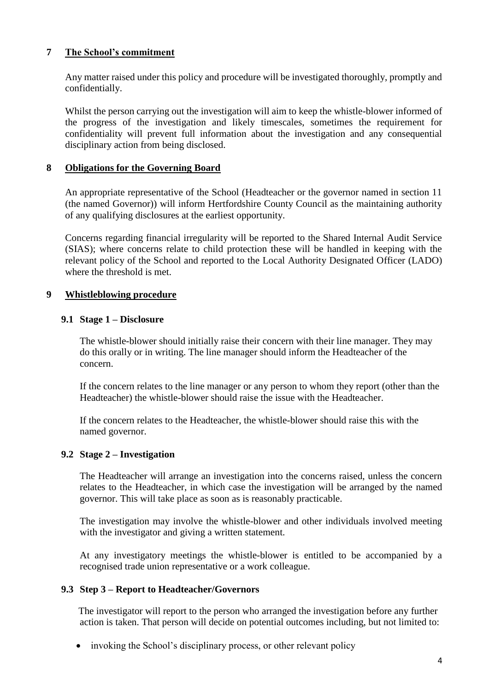#### <span id="page-4-0"></span>**7 The School's commitment**

Any matter raised under this policy and procedure will be investigated thoroughly, promptly and confidentially.

Whilst the person carrying out the investigation will aim to keep the whistle-blower informed of the progress of the investigation and likely timescales, sometimes the requirement for confidentiality will prevent full information about the investigation and any consequential disciplinary action from being disclosed.

#### <span id="page-4-1"></span>**8 Obligations for the Governing Board**

An appropriate representative of the School (Headteacher or the governor named in section 11 (the named Governor)) will inform Hertfordshire County Council as the maintaining authority of any qualifying disclosures at the earliest opportunity.

Concerns regarding financial irregularity will be reported to the Shared Internal Audit Service (SIAS); where concerns relate to child protection these will be handled in keeping with the relevant policy of the School and reported to the Local Authority Designated Officer (LADO) where the threshold is met.

#### <span id="page-4-2"></span>**9 Whistleblowing procedure**

#### <span id="page-4-3"></span>**9.1 Stage 1 – Disclosure**

The whistle-blower should initially raise their concern with their line manager. They may do this orally or in writing. The line manager should inform the Headteacher of the concern.

If the concern relates to the line manager or any person to whom they report (other than the Headteacher) the whistle-blower should raise the issue with the Headteacher.

If the concern relates to the Headteacher, the whistle-blower should raise this with the named governor.

#### <span id="page-4-4"></span>**9.2 Stage 2 – Investigation**

The Headteacher will arrange an investigation into the concerns raised, unless the concern relates to the Headteacher, in which case the investigation will be arranged by the named governor. This will take place as soon as is reasonably practicable.

The investigation may involve the whistle-blower and other individuals involved meeting with the investigator and giving a written statement.

At any investigatory meetings the whistle-blower is entitled to be accompanied by a recognised trade union representative or a work colleague.

#### <span id="page-4-5"></span>**9.3 Step 3 – Report to Headteacher/Governors**

The investigator will report to the person who arranged the investigation before any further action is taken. That person will decide on potential outcomes including, but not limited to:

• invoking the School's disciplinary process, or other relevant policy